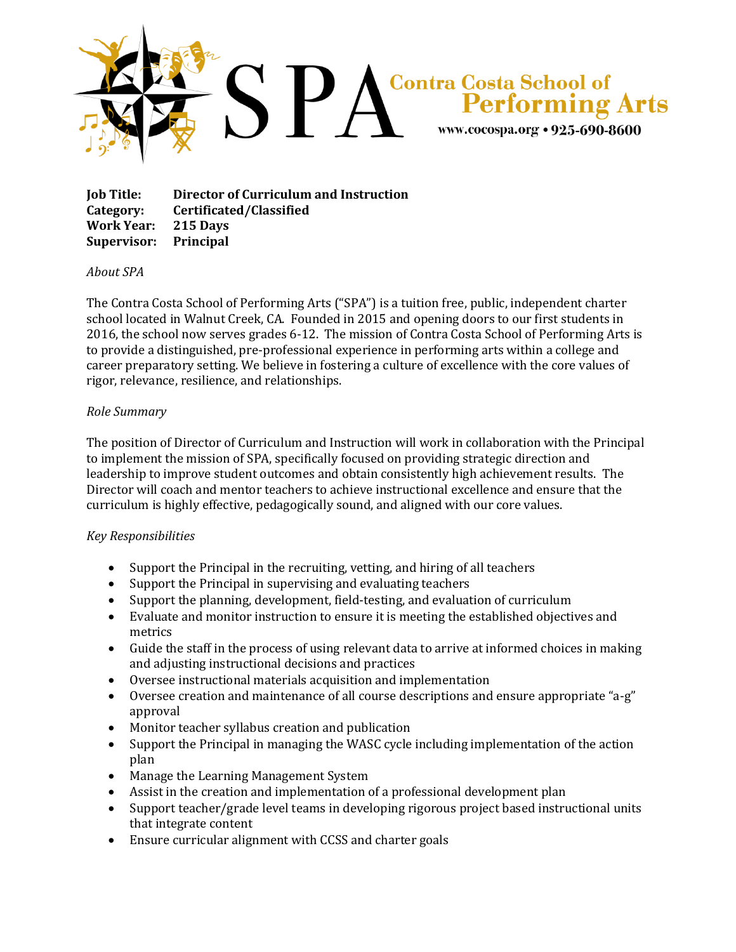

**Job Title: Director of Curriculum and Instruction Category: Certificated/Classified Work Year: 215 Days Supervisor: Principal**

## *About SPA*

The Contra Costa School of Performing Arts ("SPA") is a tuition free, public, independent charter school located in Walnut Creek, CA. Founded in 2015 and opening doors to our first students in 2016, the school now serves grades 6-12. The mission of Contra Costa School of Performing Arts is to provide a distinguished, pre-professional experience in performing arts within a college and career preparatory setting. We believe in fostering a culture of excellence with the core values of rigor, relevance, resilience, and relationships.

## *Role Summary*

The position of Director of Curriculum and Instruction will work in collaboration with the Principal to implement the mission of SPA, specifically focused on providing strategic direction and leadership to improve student outcomes and obtain consistently high achievement results. The Director will coach and mentor teachers to achieve instructional excellence and ensure that the curriculum is highly effective, pedagogically sound, and aligned with our core values.

## *Key Responsibilities*

- Support the Principal in the recruiting, vetting, and hiring of all teachers
- Support the Principal in supervising and evaluating teachers
- Support the planning, development, field-testing, and evaluation of curriculum
- Evaluate and monitor instruction to ensure it is meeting the established objectives and metrics
- Guide the staff in the process of using relevant data to arrive at informed choices in making and adjusting instructional decisions and practices
- Oversee instructional materials acquisition and implementation
- Oversee creation and maintenance of all course descriptions and ensure appropriate "a-g" approval
- Monitor teacher syllabus creation and publication
- Support the Principal in managing the WASC cycle including implementation of the action plan
- Manage the Learning Management System
- Assist in the creation and implementation of a professional development plan
- Support teacher/grade level teams in developing rigorous project based instructional units that integrate content
- Ensure curricular alignment with CCSS and charter goals